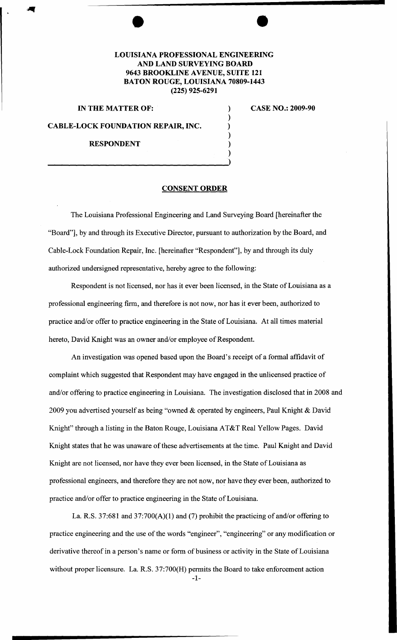## **LOUISIANA PROFESSIONAL ENGINEERING AND LAND SURVEYING BOARD 9643 BROOKLINE A VENUE, SUITE 121 BATON ROUGE, LOUISIANA 70809-1443 (225) 925-6291**

) ) ) ) ) )

## **IN THE MATTER OF:**

**CABLE-LOCK FOUNDATION REPAIR, INC.** 

**RESPONDENT** 

**CASE NO.: 2009-90** 

## **CONSENT ORDER**

The Louisiana Professional Engineering and Land Surveying Board [hereinafter the "Board"], by and through its Executive Director, pursuant to authorization by the Board, and Cable-Lock Foundation Repair, Inc. [hereinafter "Respondent"], by and through its duly authorized undersigned representative, hereby agree to the following:

Respondent is not licensed, nor has it ever been licensed, in the State of Louisiana as a professional engineering firm, and therefore is not now, nor has it ever been, authorized to practice and/or offer to practice engineering in the State of Louisiana. At all times material hereto, David Knight was an owner and/or employee of Respondent.

An investigation was opened based upon the Board's receipt of a formal affidavit of complaint which suggested that Respondent may have engaged in the unlicensed practice of and/or offering to practice engineering in Louisiana. The investigation disclosed that in 2008 and 2009 you advertised yourself as being "owned & operated by engineers, Paul Knight & David Knight" through a listing in the Baton Rouge, Louisiana AT&T Real Yellow Pages. David Knight states that he was unaware of these advertisements at the time. Paul Knight and David Knight are not licensed, nor have they ever been licensed, in the State of Louisiana as professional engineers, and therefore they are not now, nor have they ever been, authorized to practice and/or offer to practice engineering in the State of Louisiana.

La. R.S. 37:681 and 37:700(A)(l) and (7) prohibit the practicing of and/or offering to practice engineering and the use of the words "engineer", "engineering" or any modification or derivative thereof in a person's name or form of business or activity in the State of Louisiana without proper licensure. La. R.S. 37:700(H) permits the Board to take enforcement action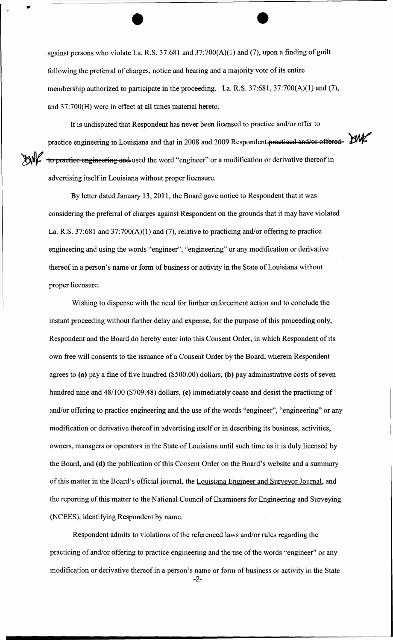against persons who violate La. R.S. 37:681 and 37:700(A)(1) and (7), upon a finding of guilt following the preferral of charges, notice and hearing and a majority vote of its entire membership authorized to participate in the proceeding. La. R.S. 37:681, 37:700(A)(1) and (7), and 37:700(H) were in effect at all times material hereto.

It is undisputed that Respondent has never been licensed to practice and/or offer to practice engineering in Louisiana and that in 2008 and 2009 Respondent practiced and/or offered. XXNC to practice engineering and used the word "engineer" or a modification or derivative thereof in advertising itself in Louisiana without proper licensure.

By letter dated January 13, 2011, the Board gave notice to Respondent that it was considering the preferral of charges against Respondent on the grounds that it may have violated La. R.S. 37:681 and 37:700(A)(1) and (7), relative to practicing and/or offering to practice engineering and using the words "engineer", "engineering" or any modification or derivative thereof in a person's name or form of business or activity in the State of Louisiana without proper licensure.

Wishing to dispense with the need for further enforcement action and to conclude the instant proceeding without further delay and expense, for the purpose of this proceeding only, Respondent and the Board do hereby enter into this Consent Order, in which Respondent of its own free will consents to the issuance of a Consent Order by the Board, wherein Respondent agrees to (a) pay a fine of five hundred (\$500.00) dollars, (b) pay administrative costs of seven hundred nine and 48/100 (\$709.48) dollars, (c) immediately cease and desist the practicing of and/or offering to practice engineering and the use of the words "engineer", "engineering" or any modification or derivative thereof in advertising itself or in describing its business, activities, owners, managers or operators in the State of Louisiana until such time as it is duly licensed by the Board, and (d) the publication of this Consent Order on the Board's website and a summary of this matter in the Board's official journal, the Louisiana Engineer and Surveyor Journal, and the reporting of this matter to the National Council of Examiners for Engineering and Surveying (NCEES), identifying Respondent by name.

Respondent admits to violations of the referenced laws and/or rules regarding the practicing of and/or offering to practice engineering and the use of the words "engineer" or any modification or derivative thereof in a person's name or form of business or activity in the State

-2-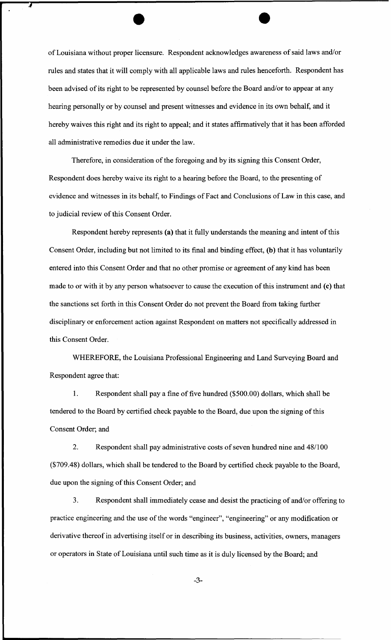of Louisiana without proper licensure. Respondent acknowledges awareness of said laws and/or rules and states that it will comply with all applicable laws and rules henceforth. Respondent has been advised of its right to be represented by counsel before the Board and/or to appear at any hearing personally or by counsel and present witnesses and evidence in its own behalf, and it hereby waives this right and its right to appeal; and it states affirmatively that it has been afforded all administrative remedies due it under the law.

7

Therefore, in consideration of the foregoing and by its signing this Consent Order, Respondent does hereby waive its right to a hearing before the Board, to the presenting of evidence and witnesses in its behalf, to Findings of Fact and Conclusions of Law in this case, and to judicial review of this Consent Order.

Respondent hereby represents (a) that it fully understands the meaning and intent of this Consent Order, including but not limited to its final and binding effect, (b) that it has voluntarily entered into this Consent Order and that no other promise or agreement of any kind has been made to or with it by any person whatsoever to cause the execution of this instrument and (c) that the sanctions set forth in this Consent Order do not prevent the Board from taking further disciplinary or enforcement action against Respondent on matters not specifically addressed in this Consent Order.

WHEREFORE, the Louisiana Professional Engineering and Land Surveying Board and Respondent agree that:

1. Respondent shall pay a fine of five hundred (\$500.00) dollars, which shall be tendered to the Board by certified check payable to the Board, due upon the signing of this Consent Order; and

2. Respondent shall pay administrative costs of seven hundred nine and 48/100 (\$709.48) dollars, which shall be tendered to the Board by certified check payable to the Board, due upon the signing of this Consent Order; and

3. Respondent shall immediately cease and desist the practicing of and/or offering to practice engineering and the use of the words "engineer", "engineering" or any modification or derivative thereof in advertising itself or in describing its business, activities, owners, managers or operators in State of Louisiana until such time as it is duly licensed by the Board; and

-3-